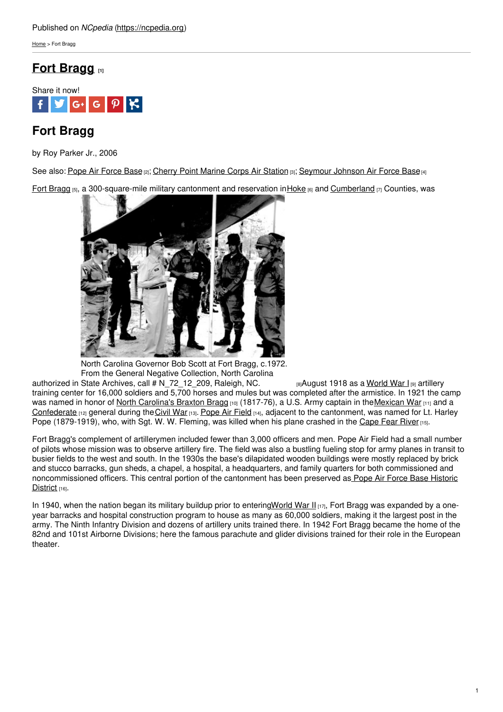[Home](https://ncpedia.org/) > Fort Bragg

# **Fort [Bragg](https://ncpedia.org/fort-bragg) [1]**



# **Fort Bragg**

by Roy Parker Jr., 2006

See also: Pope Air [Force](https://ncpedia.org/pope-air-force-base) Base [2]; Cherry Point [Marine](https://ncpedia.org/cherry-point-marine-corps-air-stati) Corps Air Station [3]; [Seymour](https://ncpedia.org/seymour-johnson-air-force-base) Johnson Air Force Base [4]

Fort [Bragg](http://www.bragg.army.mil/Pages/Default.aspx) [5], a 300-square-mile military cantonment and reservation in [Hoke](https://ncpedia.org/geography/hoke) [6] and [Cumberland](https://ncpedia.org/geography/cumberland) [7] Counties, was



North Carolina Governor Bob Scott at Fort Bragg, c.1972. From the General Negative Collection, North Carolina

authorized in State Archives, call # [N\\_72\\_12\\_209,](https://www.flickr.com/photos/north-carolina-state-archives/3220041399/) Raleigh, NC. <sub>ខោ</sub>August 1918 as a <u>[World](https://ncpedia.org/world-war-i) War I</u> <sub>l</sub>၍ artillery training center for 16,000 soldiers and 5,700 horses and mules but was completed after the armistice. In 1921 the camp was named in honor of North [Carolina's](https://ncpedia.org/biography/bragg-braxton) Braxton Bragg [10] (1817-76), a U.S. Army captain in the Mexican War [11] and a [Confederate](https://ncpedia.org/confederate-party) [12] general during the [Civil](https://ncpedia.org/history/cw-1900/civil-war) War [13]. [Pope](http://www.pope.af.mil/) Air Field [14], adjacent to the cantonment, was named for Lt. Harley Pope (1879-1919), who, with Sgt. W. W. Fleming, was killed when his plane crashed in the [Cape](https://ncpedia.org/rivers/cape-fear) Fear River [15].

Fort Bragg's complement of artillerymen included fewer than 3,000 officers and men. Pope Air Field had a small number of pilots whose mission was to observe artillery fire. The field was also a bustling fueling stop for army planes in transit to busier fields to the west and south. In the 1930s the base's dilapidated wooden buildings were mostly replaced by brick and stucco barracks, gun sheds, a chapel, a hospital, a headquarters, and family quarters for both commissioned and [noncommissioned](https://www.nps.gov/nr/travel/aviation/pop.htm) officers. This central portion of the cantonment has been preserved as Pope Air Force Base Historic District [16].

In 1940, when the nation began its military buildup prior to enterin[gWorld](https://ncpedia.org/world-war-ii) War II  $_{117}$ , Fort Bragg was expanded by a oneyear barracks and hospital construction program to house as many as 60,000 soldiers, making it the largest post in the army. The Ninth Infantry Division and dozens of artillery units trained there. In 1942 Fort Bragg became the home of the 82nd and 101st Airborne Divisions; here the famous parachute and glider divisions trained for their role in the European theater.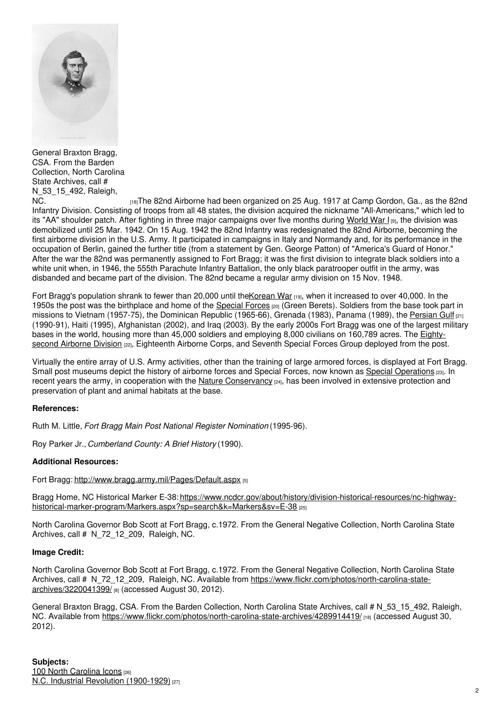

General Braxton Bragg, CSA. From the Barden Collection, North Carolina State Archives, call # N\_53\_15\_492, Raleigh,

[NC.](https://www.flickr.com/photos/north-carolina-state-archives/4289914419/) **Install and Airborne had been organized on 25 Aug. 1917 at Camp Gordon, Ga., as the 82nd Northern Angle 32nd** Infantry Division. Consisting of troops from all 48 states, the division acquired the nickname "All-Americans," which led to its "AA" shoulder patch. After fighting in three major campaigns over five months during [World](https://ncpedia.org/world-war-i) War I [9], the division was demobilized until 25 Mar. 1942. On 15 Aug. 1942 the 82nd Infantry was redesignated the 82nd Airborne, becoming the first airborne division in the U.S. Army. It participated in campaigns in Italy and Normandy and, for its performance in the occupation of Berlin, gained the further title (from a statement by Gen. George Patton) of "America's Guard of Honor." After the war the 82nd was permanently assigned to Fort Bragg; it was the first division to integrate black soldiers into a white unit when, in 1946, the 555th Parachute Infantry Battalion, the only black paratrooper outfit in the army, was disbanded and became part of the division. The 82nd became a regular army division on 15 Nov. 1948.

Fort Bragg's population shrank to fewer than 20,000 until the Korean War [19], when it increased to over 40,000. In the 1950s the post was the birthplace and home of the [Special](http://www.goarmy.com/special-forces.html) Forces [20] (Green Berets). Soldiers from the base took part in missions to Vietnam (1957-75), the Dominican Republic (1965-66), Grenada (1983), Panama (1989), the [Persian](https://ncpedia.org/persian-gulf-war) Gulf [21] (1990-91), Haiti (1995), Afghanistan (2002), and Iraq (2003). By the early 2000s Fort Bragg was one of the largest military bases in the world, housing more than 45,000 soldiers and [employing](https://82ndairbornedivisionmuseum.com/) 8,000 civilians on 160,789 acres. The Eightysecond Airborne Division [22], Eighteenth Airborne Corps, and Seventh Special Forces Group deployed from the post.

Virtually the entire array of U.S. Army activities, other than the training of large armored forces, is displayed at Fort Bragg. Small post museums depict the history of airborne forces and Special Forces, now known as Special [Operations](http://www.soc.mil/) [23]. In recent years the army, in cooperation with the Nature [Conservancy](http://www.nature.org/)  $[24]$ , has been involved in extensive protection and preservation of plant and animal habitats at the base.

## **References:**

Ruth M. Little, *Fort Bragg Main Post National Register Nomination* (1995-96).

Roy Parker Jr., *Cumberland County: A Brief History* (1990).

### **Additional Resources:**

Fort Bragg: <http://www.bragg.army.mil/Pages/Default.aspx> [5]

Bragg Home, NC Historical Marker E-38: [https://www.ncdcr.gov/about/history/division-historical-resources/nc-highway](https://www.ncdcr.gov/about/history/division-historical-resources/nc-highway-historical-marker-program/Markers.aspx?sp=search&k=Markers&sv=E-38)historical-marker-program/Markers.aspx?sp=search&k=Markers&sv=E-38 [25]

North Carolina Governor Bob Scott at Fort Bragg, c.1972. From the General Negative Collection, North Carolina State Archives, call # N\_72\_12\_209, Raleigh, NC.

### **Image Credit:**

North Carolina Governor Bob Scott at Fort Bragg, c.1972. From the General Negative Collection, North Carolina State Archives, call # N\_72\_12\_209, Raleigh, NC. Available from [https://www.flickr.com/photos/north-carolina-state](https://www.flickr.com/photos/north-carolina-state-archives/3220041399/)archives/3220041399/ [8] (accessed August 30, 2012).

General Braxton Bragg, CSA. From the Barden Collection, North Carolina State Archives, call # N\_53\_15\_492, Raleigh, NC. Available from <https://www.flickr.com/photos/north-carolina-state-archives/4289914419/> [18] (accessed August 30, 2012).